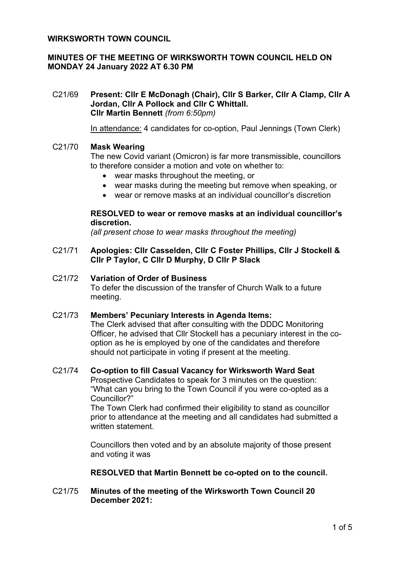## **WIRKSWORTH TOWN COUNCIL**

# **MINUTES OF THE MEETING OF WIRKSWORTH TOWN COUNCIL HELD ON MONDAY 24 January 2022 AT 6.30 PM**

C21/69 **Present: Cllr E McDonagh (Chair), Cllr S Barker, Cllr A Clamp, Cllr A Jordan, Cllr A Pollock and Cllr C Whittall. Cllr Martin Bennett** *(from 6:50pm)*

In attendance: 4 candidates for co-option, Paul Jennings (Town Clerk)

## C21/70 **Mask Wearing**

The new Covid variant (Omicron) is far more transmissible, councillors to therefore consider a motion and vote on whether to:

- wear masks throughout the meeting, or
- wear masks during the meeting but remove when speaking, or
- wear or remove masks at an individual councillor's discretion

### **RESOLVED to wear or remove masks at an individual councillor's discretion.**

*(all present chose to wear masks throughout the meeting)*

### C21/71 **Apologies: Cllr Casselden, Cllr C Foster Phillips, Cllr J Stockell & Cllr P Taylor, C Cllr D Murphy, D Cllr P Slack**

# C21/72 **Variation of Order of Business**

To defer the discussion of the transfer of Church Walk to a future meeting.

#### C21/73 **Members' Pecuniary Interests in Agenda Items:**

The Clerk advised that after consulting with the DDDC Monitoring Officer, he advised that Cllr Stockell has a pecuniary interest in the cooption as he is employed by one of the candidates and therefore should not participate in voting if present at the meeting.

### C21/74 **Co-option to fill Casual Vacancy for Wirksworth Ward Seat**

Prospective Candidates to speak for 3 minutes on the question: "What can you bring to the Town Council if you were co-opted as a Councillor?"

The Town Clerk had confirmed their eligibility to stand as councillor prior to attendance at the meeting and all candidates had submitted a written statement.

Councillors then voted and by an absolute majority of those present and voting it was

#### **RESOLVED that Martin Bennett be co-opted on to the council.**

## C21/75 **Minutes of the meeting of the Wirksworth Town Council 20 December 2021:**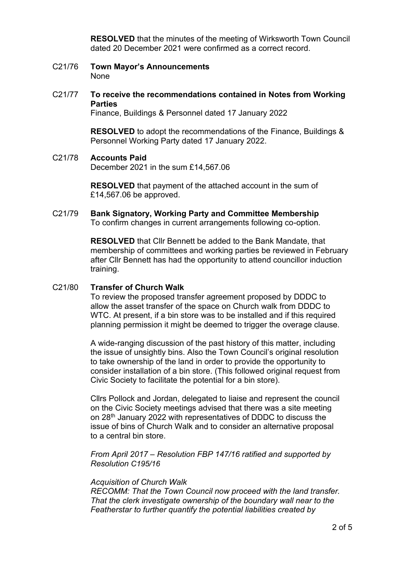**RESOLVED** that the minutes of the meeting of Wirksworth Town Council dated 20 December 2021 were confirmed as a correct record.

- C21/76 **Town Mayor's Announcements** None
- C21/77 **To receive the recommendations contained in Notes from Working Parties**

Finance, Buildings & Personnel dated 17 January 2022

**RESOLVED** to adopt the recommendations of the Finance, Buildings & Personnel Working Party dated 17 January 2022.

#### C21/78 **Accounts Paid**

December 2021 in the sum £14,567.06

**RESOLVED** that payment of the attached account in the sum of £14,567.06 be approved.

C21/79 **Bank Signatory, Working Party and Committee Membership** To confirm changes in current arrangements following co-option.

> **RESOLVED** that Cllr Bennett be added to the Bank Mandate, that membership of committees and working parties be reviewed in February after Cllr Bennett has had the opportunity to attend councillor induction training.

#### C21/80 **Transfer of Church Walk**

To review the proposed transfer agreement proposed by DDDC to allow the asset transfer of the space on Church walk from DDDC to WTC. At present, if a bin store was to be installed and if this required planning permission it might be deemed to trigger the overage clause.

A wide-ranging discussion of the past history of this matter, including the issue of unsightly bins. Also the Town Council's original resolution to take ownership of the land in order to provide the opportunity to consider installation of a bin store. (This followed original request from Civic Society to facilitate the potential for a bin store).

Cllrs Pollock and Jordan, delegated to liaise and represent the council on the Civic Society meetings advised that there was a site meeting on 28<sup>th</sup> January 2022 with representatives of DDDC to discuss the issue of bins of Church Walk and to consider an alternative proposal to a central bin store.

*From April 2017 – Resolution FBP 147/16 ratified and supported by Resolution C195/16*

#### *Acquisition of Church Walk*

*RECOMM: That the Town Council now proceed with the land transfer. That the clerk investigate ownership of the boundary wall near to the Featherstar to further quantify the potential liabilities created by*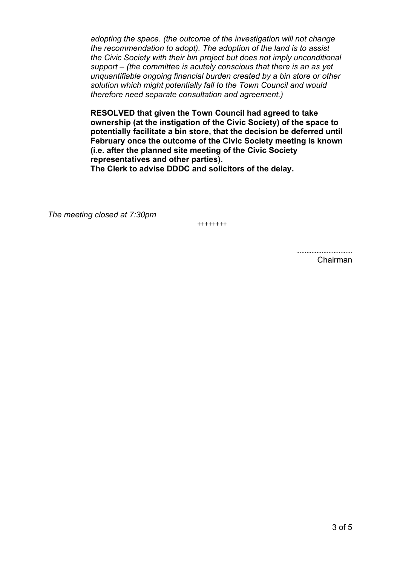*adopting the space. (the outcome of the investigation will not change the recommendation to adopt). The adoption of the land is to assist the Civic Society with their bin project but does not imply unconditional support – (the committee is acutely conscious that there is an as yet unquantifiable ongoing financial burden created by a bin store or other solution which might potentially fall to the Town Council and would therefore need separate consultation and agreement.)*

**RESOLVED that given the Town Council had agreed to take ownership (at the instigation of the Civic Society) of the space to potentially facilitate a bin store, that the decision be deferred until February once the outcome of the Civic Society meeting is known (i.e. after the planned site meeting of the Civic Society representatives and other parties).**

**The Clerk to advise DDDC and solicitors of the delay.**

*The meeting closed at 7:30pm*

++++++++

Chairman

……………………………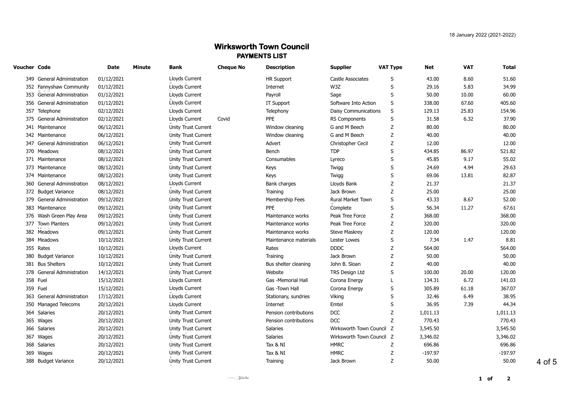# **Wirksworth Town Council PAYMENTS LIST**

| Voucher Code |                            | Date       | Minute | Bank                       | <b>Cheque No</b> | <b>Description</b>    | <b>Supplier</b>             | <b>VAT Type</b> | Net       | <b>VAT</b> | <b>Total</b> |
|--------------|----------------------------|------------|--------|----------------------------|------------------|-----------------------|-----------------------------|-----------------|-----------|------------|--------------|
|              | 349 General Administration | 01/12/2021 |        | Lloyds Current             |                  | <b>HR Support</b>     | Castle Associates           | S               | 43.00     | 8.60       | 51.60        |
|              | 352 Fannyshaw Community    | 01/12/2021 |        | Lloyds Current             |                  | Internet              | W3Z                         | S               | 29.16     | 5.83       | 34.99        |
|              | 353 General Administration | 01/12/2021 |        | Lloyds Current             |                  | Payroll               | Sage                        | S               | 50.00     | 10.00      | 60.00        |
|              | 356 General Administration | 01/12/2021 |        | Lloyds Current             |                  | IT Support            | Software Into Action        | S               | 338.00    | 67.60      | 405.60       |
|              | 357 Telephone              | 02/12/2021 |        | Lloyds Current             |                  | Telephony             | <b>Daisy Communications</b> | S               | 129.13    | 25.83      | 154.96       |
|              | 375 General Administration | 02/12/2021 |        | Lloyds Current             | Covid            | <b>PPE</b>            | <b>RS Components</b>        | S               | 31.58     | 6.32       | 37.90        |
|              | 341 Maintenance            | 06/12/2021 |        | Unity Trust Current        |                  | Window cleaning       | G and M Beech               | Z               | 80.00     |            | 80.00        |
|              | 342 Maintenance            | 06/12/2021 |        | Unity Trust Current        |                  | Window cleaning       | G and M Beech               | Z               | 40.00     |            | 40.00        |
|              | 347 General Administration | 06/12/2021 |        | Unity Trust Current        |                  | Advert                | Christopher Cecil           | Z               | 12.00     |            | 12.00        |
|              | 370 Meadows                | 08/12/2021 |        | Unity Trust Current        |                  | Bench                 | <b>TDP</b>                  | S               | 434.85    | 86.97      | 521.82       |
|              | 371 Maintenance            | 08/12/2021 |        | Unity Trust Current        |                  | Consumables           | Lyreco                      | S               | 45.85     | 9.17       | 55.02        |
|              | 373 Maintenance            | 08/12/2021 |        | Unity Trust Current        |                  | Keys                  | Twigg                       | S               | 24.69     | 4.94       | 29.63        |
|              | 374 Maintenance            | 08/12/2021 |        | Unity Trust Current        |                  | Keys                  | Twigg                       | S               | 69.06     | 13.81      | 82.87        |
|              | 360 General Administration | 08/12/2021 |        | Lloyds Current             |                  | Bank charges          | Lloyds Bank                 | Z               | 21.37     |            | 21.37        |
|              | 372 Budget Variance        | 08/12/2021 |        | Unity Trust Current        |                  | Training              | Jack Brown                  | Z               | 25.00     |            | 25.00        |
|              | 379 General Administration | 09/12/2021 |        | Unity Trust Current        |                  | Membership Fees       | Rural Market Town           | S               | 43.33     | 8.67       | 52.00        |
|              | 383 Maintenance            | 09/12/2021 |        | Unity Trust Current        |                  | <b>PPE</b>            | Complete                    | S               | 56.34     | 11.27      | 67.61        |
|              | 376 Wash Green Play Area   | 09/12/2021 |        | Unity Trust Current        |                  | Maintenance works     | Peak Tree Force             | Ζ               | 368.00    |            | 368.00       |
|              | 377 Town Planters          | 09/12/2021 |        | <b>Unity Trust Current</b> |                  | Maintenance works     | Peak Tree Force             | Ζ               | 320.00    |            | 320.00       |
|              | 382 Meadows                | 09/12/2021 |        | Unity Trust Current        |                  | Maintenance works     | <b>Steve Maskrey</b>        | Ζ               | 120.00    |            | 120.00       |
|              | 384 Meadows                | 10/12/2021 |        | Unity Trust Current        |                  | Maintenance materials | Lester Lowes                | S               | 7.34      | 1.47       | 8.81         |
|              | 355 Rates                  | 10/12/2021 |        | Lloyds Current             |                  | Rates                 | <b>DDDC</b>                 | Z               | 564.00    |            | 564.00       |
|              | 380 Budget Variance        | 10/12/2021 |        | Unity Trust Current        |                  | Training              | Jack Brown                  | Z               | 50.00     |            | 50.00        |
|              | 381 Bus Shelters           | 10/12/2021 |        | Unity Trust Current        |                  | Bus shelter cleaning  | John B. Sloan               | Z               | 40.00     |            | 40.00        |
|              | 378 General Administration | 14/12/2021 |        | Unity Trust Current        |                  | Website               | TRS Design Ltd              | S               | 100.00    | 20.00      | 120.00       |
|              | 358 Fuel                   | 15/12/2021 |        | Lloyds Current             |                  | Gas -Memorial Hall    | Corona Energy               | L               | 134.31    | 6.72       | 141.03       |
|              | 359 Fuel                   | 15/12/2021 |        | Lloyds Current             |                  | Gas -Town Hall        | Corona Energy               | S               | 305.89    | 61.18      | 367.07       |
|              | 363 General Administration | 17/12/2021 |        | Lloyds Current             |                  | Stationary, sundries  | Viking                      | S               | 32.46     | 6.49       | 38.95        |
|              | 350 Managed Telecoms       | 20/12/2021 |        | Lloyds Current             |                  | Internet              | Emtel                       | S               | 36.95     | 7.39       | 44.34        |
|              | 364 Salaries               | 20/12/2021 |        | Unity Trust Current        |                  | Pension contributions | <b>DCC</b>                  | Ζ               | 1,011.13  |            | 1,011.13     |
|              | 365 Wages                  | 20/12/2021 |        | Unity Trust Current        |                  | Pension contributions | <b>DCC</b>                  | Ζ               | 770.43    |            | 770.43       |
|              | 366 Salaries               | 20/12/2021 |        | Unity Trust Current        |                  | Salaries              | Wirksworth Town Council     | z               | 3,545.50  |            | 3,545.50     |
|              | 367 Wages                  | 20/12/2021 |        | <b>Unity Trust Current</b> |                  | <b>Salaries</b>       | Wirksworth Town Council Z   |                 | 3,346.02  |            | 3,346.02     |
|              | 368 Salaries               | 20/12/2021 |        | Unity Trust Current        |                  | Tax & NI              | <b>HMRC</b>                 | Ζ               | 696.86    |            | 696.86       |
|              | 369 Wages                  | 20/12/2021 |        | Unity Trust Current        |                  | Tax & NI              | <b>HMRC</b>                 | Ζ               | $-197.97$ |            | $-197.97$    |
|              | 388 Budget Variance        | 20/12/2021 |        | Unity Trust Current        |                  | Training              | Jack Brown                  | Z               | 50.00     |            | 50.00        |
|              |                            |            |        |                            |                  |                       |                             |                 |           |            |              |

4 of 5